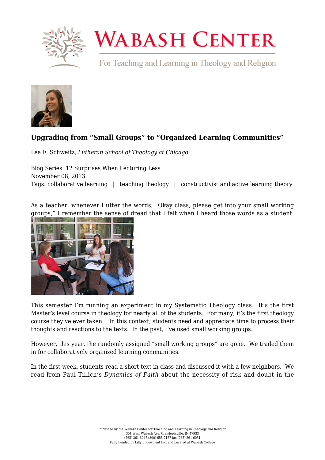

## **WABASH CENTER**

For Teaching and Learning in Theology and Religion



## **[Upgrading from "Small Groups" to "Organized Learning Communities"](https://www.wabashcenter.wabash.edu/2013/11/upgrading-from-small-groups-to-organized-learning-communities/)**

Lea F. Schweitz, *Lutheran School of Theology at Chicago*

Blog Series: 12 Surprises When Lecturing Less November 08, 2013 Tags: collaborative learning | teaching theology | constructivist and active learning theory

As a teacher, whenever I utter the words, "Okay class, please get into your small working groups," I remember the sense of dread that I felt when I heard those words as a student.



This semester I'm running an experiment in my Systematic Theology class. It's the first Master's level course in theology for nearly all of the students. For many, it's the first theology course they've ever taken. In this context, students need and appreciate time to process their thoughts and reactions to the texts. In the past, I've used small working groups.

However, this year, the randomly assigned "small working groups" are gone. We traded them in for collaboratively organized learning communities.

In the first week, students read a short text in class and discussed it with a few neighbors. We read from Paul Tillich's *Dynamics of Faith* about the necessity of risk and doubt in the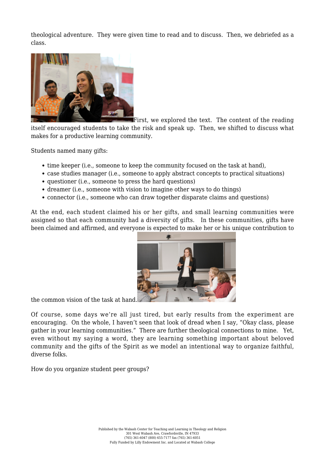theological adventure. They were given time to read and to discuss. Then, we debriefed as a class.



First, we explored the text. The content of the reading

itself encouraged students to take the risk and speak up. Then, we shifted to discuss what makes for a productive learning community.

Students named many gifts:

- time keeper (i.e., someone to keep the community focused on the task at hand).
- case studies manager (i.e., someone to apply abstract concepts to practical situations)
- questioner (i.e., someone to press the hard questions)
- dreamer (i.e., someone with vision to imagine other ways to do things)
- connector (i.e., someone who can draw together disparate claims and questions)

At the end, each student claimed his or her gifts, and small learning communities were assigned so that each community had a diversity of gifts. In these communities, gifts have been claimed and affirmed, and everyone is expected to make her or his unique contribution to



the common vision of the task at hand.

Of course, some days we're all just tired, but early results from the experiment are encouraging. On the whole, I haven't seen that look of dread when I say, "Okay class, please gather in your learning communities." There are further theological connections to mine. Yet, even without my saying a word, they are learning something important about beloved community and the gifts of the Spirit as we model an intentional way to organize faithful, diverse folks.

How do you organize student peer groups?